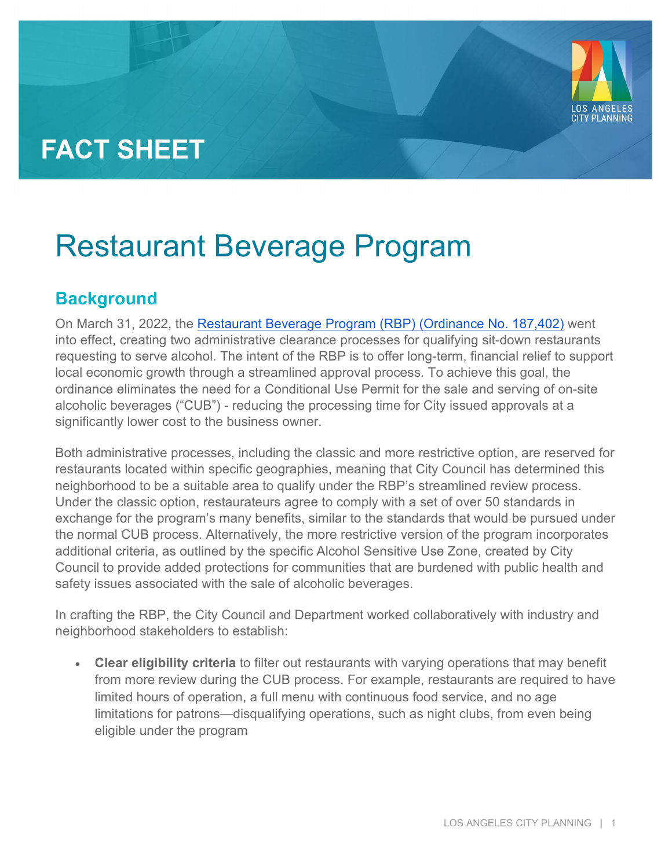## **FACT SHEET**

# Restaurant Beverage Program

### **Background**

On March 31, 2022, the [Restaurant Beverage Program \(RBP\) \(Ordinance No. 187,402\)](https://planning.lacity.org/odocument/5ec5f0b9-1bd7-47a7-bff5-160bd1564141/17-0981_ord_187402_3-31-22.pdf) went into effect, creating two administrative clearance processes for qualifying sit-down restaurants requesting to serve alcohol. The intent of the RBP is to offer long-term, financial relief to support local economic growth through a streamlined approval process. To achieve this goal, the ordinance eliminates the need for a Conditional Use Permit for the sale and serving of on-site alcoholic beverages ("CUB") - reducing the processing time for City issued approvals at a significantly lower cost to the business owner.

Both administrative processes, including the classic and more restrictive option, are reserved for restaurants located within specific geographies, meaning that City Council has determined this neighborhood to be a suitable area to qualify under the RBP's streamlined review process. Under the classic option, restaurateurs agree to comply with a set of over 50 standards in exchange for the program's many benefits, similar to the standards that would be pursued under the normal CUB process. Alternatively, the more restrictive version of the program incorporates additional criteria, as outlined by the specific Alcohol Sensitive Use Zone, created by City Council to provide added protections for communities that are burdened with public health and safety issues associated with the sale of alcoholic beverages.

In crafting the RBP, the City Council and Department worked collaboratively with industry and neighborhood stakeholders to establish:

• **Clear eligibility criteria** to filter out restaurants with varying operations that may benefit from more review during the CUB process. For example, restaurants are required to have limited hours of operation, a full menu with continuous food service, and no age limitations for patrons—disqualifying operations, such as night clubs, from even being eligible under the program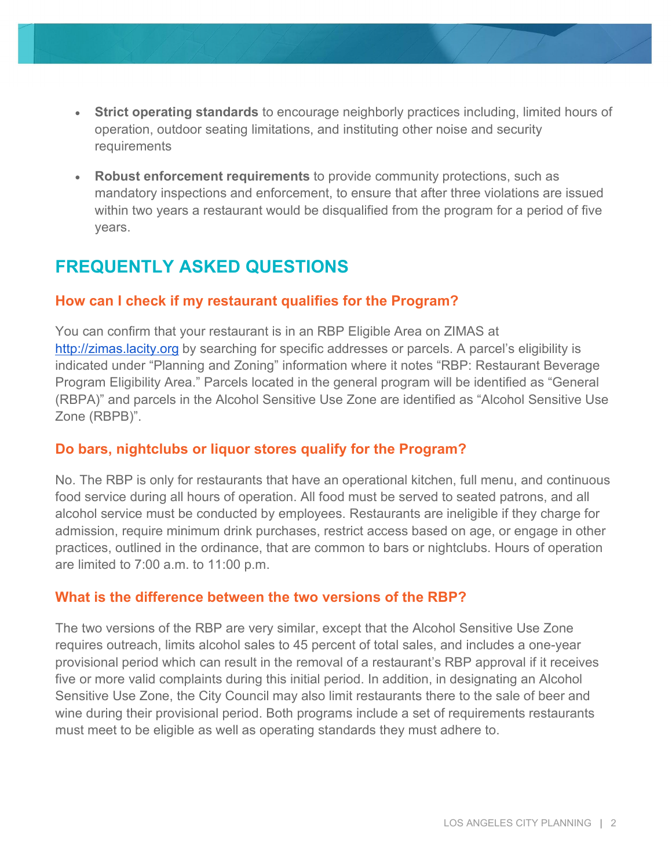- **Strict operating standards** to encourage neighborly practices including, limited hours of operation, outdoor seating limitations, and instituting other noise and security requirements
- **Robust enforcement requirements** to provide community protections, such as mandatory inspections and enforcement, to ensure that after three violations are issued within two years a restaurant would be disqualified from the program for a period of five years.

## **FREQUENTLY ASKED QUESTIONS**

#### **How can I check if my restaurant qualifies for the Program?**

You can confirm that your restaurant is in an RBP Eligible Area on ZIMAS at [http://zimas.lacity.org](http://zimas.lacity.org/) by searching for specific addresses or parcels. A parcel's eligibility is indicated under "Planning and Zoning" information where it notes "RBP: Restaurant Beverage Program Eligibility Area." Parcels located in the general program will be identified as "General (RBPA)" and parcels in the Alcohol Sensitive Use Zone are identified as "Alcohol Sensitive Use Zone (RBPB)".

#### **Do bars, nightclubs or liquor stores qualify for the Program?**

No. The RBP is only for restaurants that have an operational kitchen, full menu, and continuous food service during all hours of operation. All food must be served to seated patrons, and all alcohol service must be conducted by employees. Restaurants are ineligible if they charge for admission, require minimum drink purchases, restrict access based on age, or engage in other practices, outlined in the ordinance, that are common to bars or nightclubs. Hours of operation are limited to 7:00 a.m. to 11:00 p.m.

#### **What is the difference between the two versions of the RBP?**

The two versions of the RBP are very similar, except that the Alcohol Sensitive Use Zone requires outreach, limits alcohol sales to 45 percent of total sales, and includes a one-year provisional period which can result in the removal of a restaurant's RBP approval if it receives five or more valid complaints during this initial period. In addition, in designating an Alcohol Sensitive Use Zone, the City Council may also limit restaurants there to the sale of beer and wine during their provisional period. Both programs include a set of requirements restaurants must meet to be eligible as well as operating standards they must adhere to.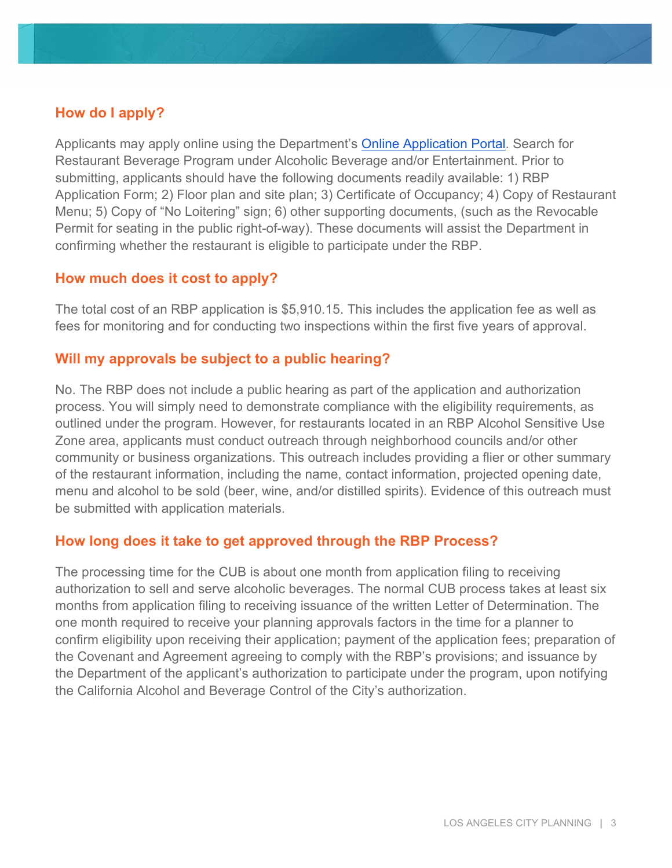#### **How do I apply?**

Applicants may apply online using the Department's [Online Application Portal.](https://plncts.lacity.org/oas) Search for Restaurant Beverage Program under Alcoholic Beverage and/or Entertainment. Prior to submitting, applicants should have the following documents readily available: 1) RBP Application Form; 2) Floor plan and site plan; 3) Certificate of Occupancy; 4) Copy of Restaurant Menu; 5) Copy of "No Loitering" sign; 6) other supporting documents, (such as the Revocable Permit for seating in the public right-of-way). These documents will assist the Department in confirming whether the restaurant is eligible to participate under the RBP.

#### **How much does it cost to apply?**

The total cost of an RBP application is \$5,910.15. This includes the application fee as well as fees for monitoring and for conducting two inspections within the first five years of approval.

#### **Will my approvals be subject to a public hearing?**

No. The RBP does not include a public hearing as part of the application and authorization process. You will simply need to demonstrate compliance with the eligibility requirements, as outlined under the program. However, for restaurants located in an RBP Alcohol Sensitive Use Zone area, applicants must conduct outreach through neighborhood councils and/or other community or business organizations. This outreach includes providing a flier or other summary of the restaurant information, including the name, contact information, projected opening date, menu and alcohol to be sold (beer, wine, and/or distilled spirits). Evidence of this outreach must be submitted with application materials.

#### **How long does it take to get approved through the RBP Process?**

The processing time for the CUB is about one month from application filing to receiving authorization to sell and serve alcoholic beverages. The normal CUB process takes at least six months from application filing to receiving issuance of the written Letter of Determination. The one month required to receive your planning approvals factors in the time for a planner to confirm eligibility upon receiving their application; payment of the application fees; preparation of the Covenant and Agreement agreeing to comply with the RBP's provisions; and issuance by the Department of the applicant's authorization to participate under the program, upon notifying the California Alcohol and Beverage Control of the City's authorization.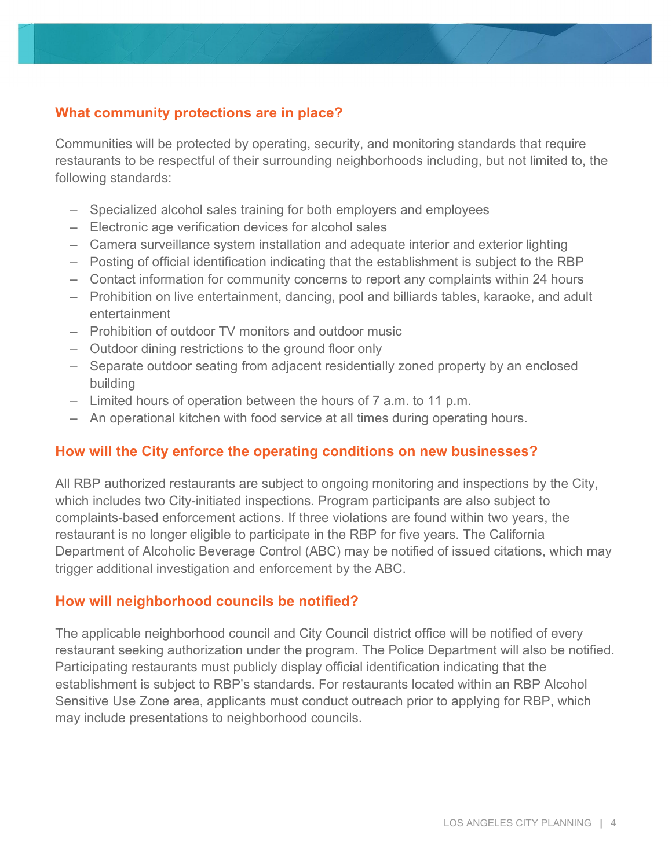#### **What community protections are in place?**

Communities will be protected by operating, security, and monitoring standards that require restaurants to be respectful of their surrounding neighborhoods including, but not limited to, the following standards:

- Specialized alcohol sales training for both employers and employees
- Electronic age verification devices for alcohol sales
- Camera surveillance system installation and adequate interior and exterior lighting
- Posting of official identification indicating that the establishment is subject to the RBP
- Contact information for community concerns to report any complaints within 24 hours
- Prohibition on live entertainment, dancing, pool and billiards tables, karaoke, and adult entertainment
- Prohibition of outdoor TV monitors and outdoor music
- Outdoor dining restrictions to the ground floor only
- Separate outdoor seating from adjacent residentially zoned property by an enclosed building
- Limited hours of operation between the hours of 7 a.m. to 11 p.m.
- An operational kitchen with food service at all times during operating hours.

#### **How will the City enforce the operating conditions on new businesses?**

All RBP authorized restaurants are subject to ongoing monitoring and inspections by the City, which includes two City-initiated inspections. Program participants are also subject to complaints-based enforcement actions. If three violations are found within two years, the restaurant is no longer eligible to participate in the RBP for five years. The California Department of Alcoholic Beverage Control (ABC) may be notified of issued citations, which may trigger additional investigation and enforcement by the ABC.

#### **How will neighborhood councils be notified?**

The applicable neighborhood council and City Council district office will be notified of every restaurant seeking authorization under the program. The Police Department will also be notified. Participating restaurants must publicly display official identification indicating that the establishment is subject to RBP's standards. For restaurants located within an RBP Alcohol Sensitive Use Zone area, applicants must conduct outreach prior to applying for RBP, which may include presentations to neighborhood councils.